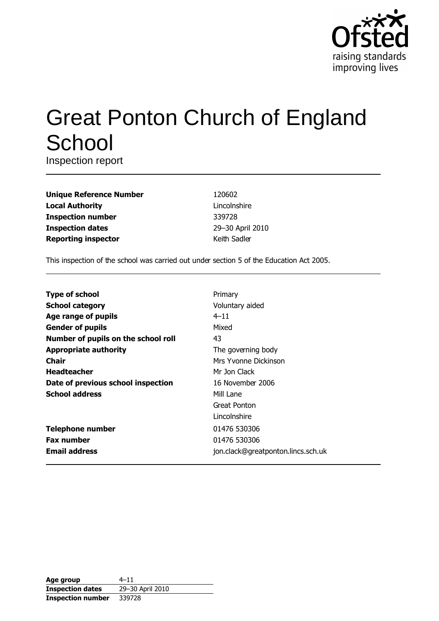

# **Great Ponton Church of England** School

Inspection report

| <b>Unique Reference Number</b> |
|--------------------------------|
| <b>Local Authority</b>         |
| <b>Inspection number</b>       |
| <b>Inspection dates</b>        |
| <b>Reporting inspector</b>     |

120602 Lincolnshire 339728 29-30 April 2010 Keith Sadler

This inspection of the school was carried out under section 5 of the Education Act 2005.

| <b>Type of school</b>               | Primary                            |
|-------------------------------------|------------------------------------|
| <b>School category</b>              | Voluntary aided                    |
| Age range of pupils                 | $4 - 11$                           |
| <b>Gender of pupils</b>             | Mixed                              |
| Number of pupils on the school roll | 43                                 |
| <b>Appropriate authority</b>        | The governing body                 |
| Chair                               | Mrs Yvonne Dickinson               |
| <b>Headteacher</b>                  | Mr Jon Clack                       |
| Date of previous school inspection  | 16 November 2006                   |
| <b>School address</b>               | Mill Lane                          |
|                                     | Great Ponton                       |
|                                     | Lincolnshire                       |
| <b>Telephone number</b>             | 01476 530306                       |
| <b>Fax number</b>                   | 01476 530306                       |
| <b>Email address</b>                | jon.clack@greatponton.lincs.sch.uk |

| Age group                | $4 - 11$         |
|--------------------------|------------------|
| <b>Inspection dates</b>  | 29-30 April 2010 |
| <b>Inspection number</b> | 339728           |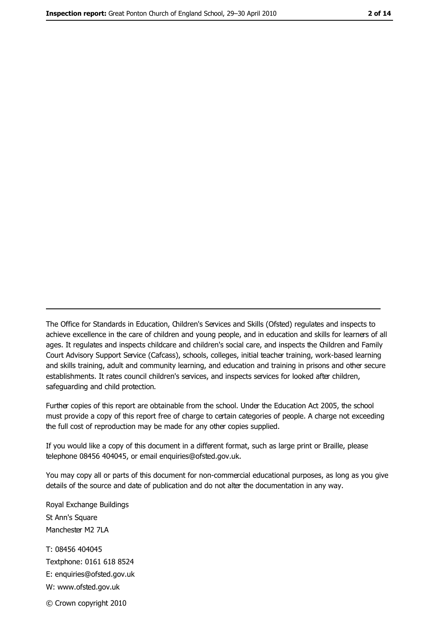The Office for Standards in Education, Children's Services and Skills (Ofsted) regulates and inspects to achieve excellence in the care of children and young people, and in education and skills for learners of all ages. It regulates and inspects childcare and children's social care, and inspects the Children and Family Court Advisory Support Service (Cafcass), schools, colleges, initial teacher training, work-based learning and skills training, adult and community learning, and education and training in prisons and other secure establishments. It rates council children's services, and inspects services for looked after children, safequarding and child protection.

Further copies of this report are obtainable from the school. Under the Education Act 2005, the school must provide a copy of this report free of charge to certain categories of people. A charge not exceeding the full cost of reproduction may be made for any other copies supplied.

If you would like a copy of this document in a different format, such as large print or Braille, please telephone 08456 404045, or email enquiries@ofsted.gov.uk.

You may copy all or parts of this document for non-commercial educational purposes, as long as you give details of the source and date of publication and do not alter the documentation in any way.

Royal Exchange Buildings St Ann's Square Manchester M2 7LA T: 08456 404045 Textphone: 0161 618 8524 E: enquiries@ofsted.gov.uk W: www.ofsted.gov.uk

© Crown copyright 2010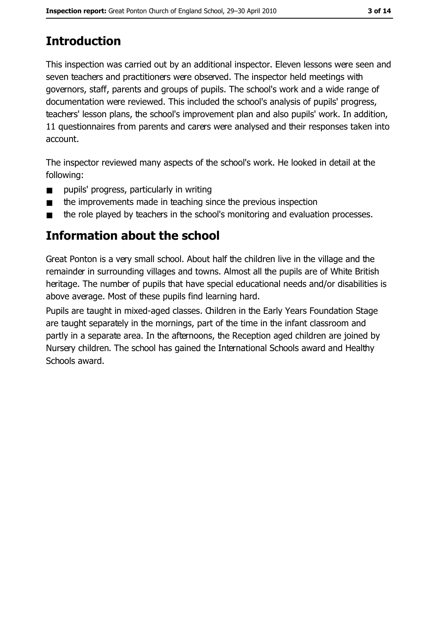# **Introduction**

This inspection was carried out by an additional inspector. Eleven lessons were seen and seven teachers and practitioners were observed. The inspector held meetings with governors, staff, parents and groups of pupils. The school's work and a wide range of documentation were reviewed. This included the school's analysis of pupils' progress, teachers' lesson plans, the school's improvement plan and also pupils' work. In addition, 11 questionnaires from parents and carers were analysed and their responses taken into account.

The inspector reviewed many aspects of the school's work. He looked in detail at the following:

- pupils' progress, particularly in writing  $\blacksquare$
- the improvements made in teaching since the previous inspection  $\blacksquare$
- the role played by teachers in the school's monitoring and evaluation processes.

## Information about the school

Great Ponton is a very small school. About half the children live in the village and the remainder in surrounding villages and towns. Almost all the pupils are of White British heritage. The number of pupils that have special educational needs and/or disabilities is above average. Most of these pupils find learning hard.

Pupils are taught in mixed-aged classes. Children in the Early Years Foundation Stage are taught separately in the mornings, part of the time in the infant classroom and partly in a separate area. In the afternoons, the Reception aged children are joined by Nursery children. The school has gained the International Schools award and Healthy Schools award.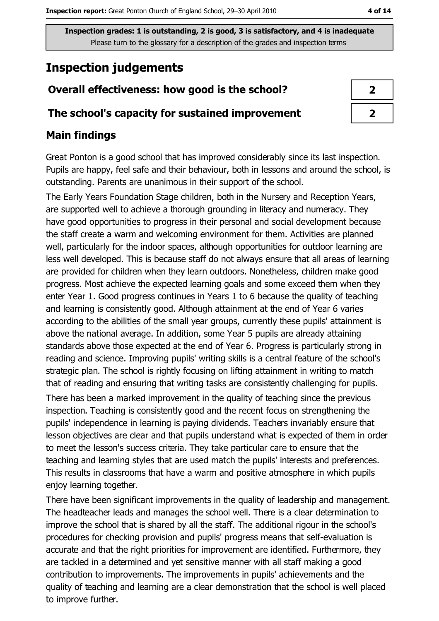# **Inspection judgements**

## Overall effectiveness: how good is the school?

#### The school's capacity for sustained improvement

#### **Main findings**

Great Ponton is a good school that has improved considerably since its last inspection. Pupils are happy, feel safe and their behaviour, both in lessons and around the school, is outstanding. Parents are unanimous in their support of the school.

The Early Years Foundation Stage children, both in the Nursery and Reception Years, are supported well to achieve a thorough grounding in literacy and numeracy. They have good opportunities to progress in their personal and social development because the staff create a warm and welcoming environment for them. Activities are planned well, particularly for the indoor spaces, although opportunities for outdoor learning are less well developed. This is because staff do not always ensure that all areas of learning are provided for children when they learn outdoors. Nonetheless, children make good progress. Most achieve the expected learning goals and some exceed them when they enter Year 1. Good progress continues in Years 1 to 6 because the quality of teaching and learning is consistently good. Although attainment at the end of Year 6 varies according to the abilities of the small year groups, currently these pupils' attainment is above the national average. In addition, some Year 5 pupils are already attaining standards above those expected at the end of Year 6. Progress is particularly strong in reading and science. Improving pupils' writing skills is a central feature of the school's strategic plan. The school is rightly focusing on lifting attainment in writing to match that of reading and ensuring that writing tasks are consistently challenging for pupils.

There has been a marked improvement in the quality of teaching since the previous inspection. Teaching is consistently good and the recent focus on strengthening the pupils' independence in learning is paying dividends. Teachers invariably ensure that lesson objectives are clear and that pupils understand what is expected of them in order to meet the lesson's success criteria. They take particular care to ensure that the teaching and learning styles that are used match the pupils' interests and preferences. This results in classrooms that have a warm and positive atmosphere in which pupils enjoy learning together.

There have been significant improvements in the quality of leadership and management. The headteacher leads and manages the school well. There is a clear determination to improve the school that is shared by all the staff. The additional rigour in the school's procedures for checking provision and pupils' progress means that self-evaluation is accurate and that the right priorities for improvement are identified. Furthermore, they are tackled in a determined and yet sensitive manner with all staff making a good contribution to improvements. The improvements in pupils' achievements and the quality of teaching and learning are a clear demonstration that the school is well placed to improve further.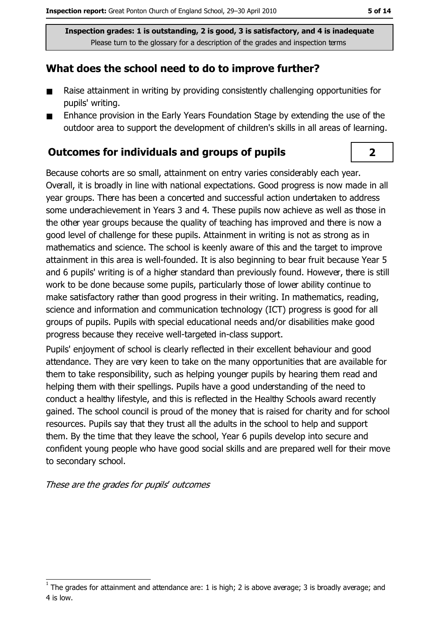### What does the school need to do to improve further?

- $\blacksquare$ Raise attainment in writing by providing consistently challenging opportunities for pupils' writing.
- Enhance provision in the Early Years Foundation Stage by extending the use of the  $\blacksquare$ outdoor area to support the development of children's skills in all areas of learning.

#### **Outcomes for individuals and groups of pupils**

Because cohorts are so small, attainment on entry varies considerably each year. Overall, it is broadly in line with national expectations. Good progress is now made in all year groups. There has been a concerted and successful action undertaken to address some underachievement in Years 3 and 4. These pupils now achieve as well as those in the other vear groups because the quality of teaching has improved and there is now a good level of challenge for these pupils. Attainment in writing is not as strong as in mathematics and science. The school is keenly aware of this and the target to improve attainment in this area is well-founded. It is also beginning to bear fruit because Year 5 and 6 pupils' writing is of a higher standard than previously found. However, there is still work to be done because some pupils, particularly those of lower ability continue to make satisfactory rather than good progress in their writing. In mathematics, reading, science and information and communication technology (ICT) progress is good for all aroups of pupils. Pupils with special educational needs and/or disabilities make good progress because they receive well-targeted in-class support.

Pupils' enjoyment of school is clearly reflected in their excellent behaviour and good attendance. They are very keen to take on the many opportunities that are available for them to take responsibility, such as helping younger pupils by hearing them read and helping them with their spellings. Pupils have a good understanding of the need to conduct a healthy lifestyle, and this is reflected in the Healthy Schools award recently gained. The school council is proud of the money that is raised for charity and for school resources. Pupils say that they trust all the adults in the school to help and support them. By the time that they leave the school, Year 6 pupils develop into secure and confident young people who have good social skills and are prepared well for their move to secondary school.

These are the grades for pupils' outcomes

 $\overline{\mathbf{2}}$ 

The grades for attainment and attendance are: 1 is high; 2 is above average; 3 is broadly average; and 4 is low.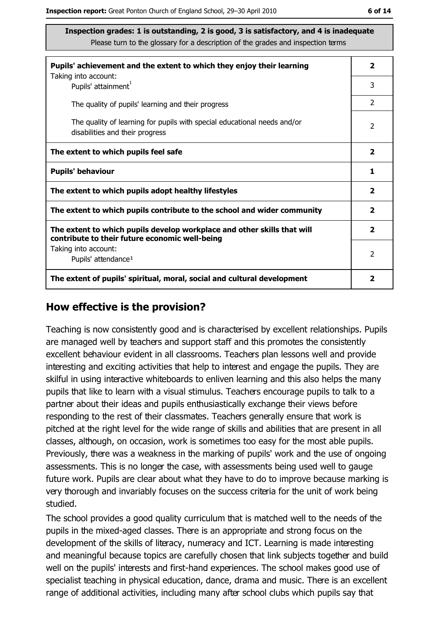| Pupils' achievement and the extent to which they enjoy their learning                                                     | 2                       |
|---------------------------------------------------------------------------------------------------------------------------|-------------------------|
| Taking into account:<br>Pupils' attainment <sup>1</sup>                                                                   | 3                       |
| The quality of pupils' learning and their progress                                                                        | $\mathcal{P}$           |
| The quality of learning for pupils with special educational needs and/or<br>disabilities and their progress               | $\overline{2}$          |
| The extent to which pupils feel safe                                                                                      | $\overline{\mathbf{2}}$ |
| <b>Pupils' behaviour</b>                                                                                                  | 1                       |
| The extent to which pupils adopt healthy lifestyles                                                                       | $\overline{\mathbf{2}}$ |
| The extent to which pupils contribute to the school and wider community                                                   | $\overline{\mathbf{2}}$ |
| The extent to which pupils develop workplace and other skills that will<br>contribute to their future economic well-being | $\overline{\mathbf{2}}$ |
| Taking into account:<br>Pupils' attendance <sup>1</sup>                                                                   | 2                       |
| The extent of pupils' spiritual, moral, social and cultural development                                                   | 2                       |

#### How effective is the provision?

Teaching is now consistently good and is characterised by excellent relationships. Pupils are managed well by teachers and support staff and this promotes the consistently excellent behaviour evident in all classrooms. Teachers plan lessons well and provide interesting and exciting activities that help to interest and engage the pupils. They are skilful in using interactive whiteboards to enliven learning and this also helps the many pupils that like to learn with a visual stimulus. Teachers encourage pupils to talk to a partner about their ideas and pupils enthusiastically exchange their views before responding to the rest of their classmates. Teachers generally ensure that work is pitched at the right level for the wide range of skills and abilities that are present in all classes, although, on occasion, work is sometimes too easy for the most able pupils. Previously, there was a weakness in the marking of pupils' work and the use of ongoing assessments. This is no longer the case, with assessments being used well to gauge future work. Pupils are clear about what they have to do to improve because marking is very thorough and invariably focuses on the success criteria for the unit of work being studied.

The school provides a good quality curriculum that is matched well to the needs of the pupils in the mixed-aged classes. There is an appropriate and strong focus on the development of the skills of literacy, numeracy and ICT. Learning is made interesting and meaningful because topics are carefully chosen that link subjects together and build well on the pupils' interests and first-hand experiences. The school makes good use of specialist teaching in physical education, dance, drama and music. There is an excellent range of additional activities, including many after school clubs which pupils say that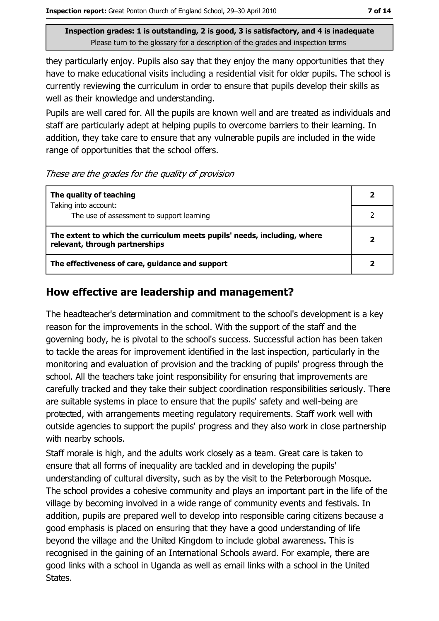they particularly enjoy. Pupils also say that they enjoy the many opportunities that they have to make educational visits including a residential visit for older pupils. The school is currently reviewing the curriculum in order to ensure that pupils develop their skills as well as their knowledge and understanding.

Pupils are well cared for. All the pupils are known well and are treated as individuals and staff are particularly adept at helping pupils to overcome barriers to their learning. In addition, they take care to ensure that any vulnerable pupils are included in the wide range of opportunities that the school offers.

#### These are the grades for the quality of provision

| The quality of teaching                                                                                    |   |
|------------------------------------------------------------------------------------------------------------|---|
| Taking into account:<br>The use of assessment to support learning                                          |   |
| The extent to which the curriculum meets pupils' needs, including, where<br>relevant, through partnerships | 2 |
| The effectiveness of care, guidance and support                                                            |   |

#### How effective are leadership and management?

The headteacher's determination and commitment to the school's development is a key reason for the improvements in the school. With the support of the staff and the governing body, he is pivotal to the school's success. Successful action has been taken to tackle the areas for improvement identified in the last inspection, particularly in the monitoring and evaluation of provision and the tracking of pupils' progress through the school. All the teachers take joint responsibility for ensuring that improvements are carefully tracked and they take their subject coordination responsibilities seriously. There are suitable systems in place to ensure that the pupils' safety and well-being are protected, with arrangements meeting regulatory requirements. Staff work well with outside agencies to support the pupils' progress and they also work in close partnership with nearby schools.

Staff morale is high, and the adults work closely as a team. Great care is taken to ensure that all forms of inequality are tackled and in developing the pupils' understanding of cultural diversity, such as by the visit to the Peterborough Mosque. The school provides a cohesive community and plays an important part in the life of the village by becoming involved in a wide range of community events and festivals. In addition, pupils are prepared well to develop into responsible caring citizens because a good emphasis is placed on ensuring that they have a good understanding of life beyond the village and the United Kingdom to include global awareness. This is recognised in the gaining of an International Schools award. For example, there are good links with a school in Uganda as well as email links with a school in the United States.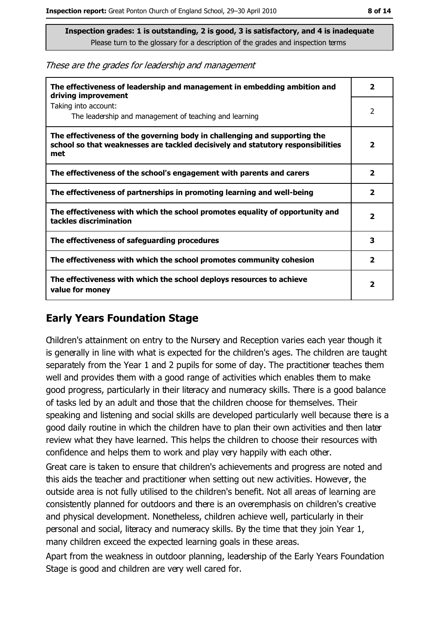These are the grades for leadership and management

| The effectiveness of leadership and management in embedding ambition and<br>driving improvement                                                                     | 2                       |
|---------------------------------------------------------------------------------------------------------------------------------------------------------------------|-------------------------|
| Taking into account:<br>The leadership and management of teaching and learning                                                                                      | 2                       |
| The effectiveness of the governing body in challenging and supporting the<br>school so that weaknesses are tackled decisively and statutory responsibilities<br>met | 2                       |
| The effectiveness of the school's engagement with parents and carers                                                                                                | $\overline{\mathbf{2}}$ |
| The effectiveness of partnerships in promoting learning and well-being                                                                                              | $\overline{\mathbf{2}}$ |
| The effectiveness with which the school promotes equality of opportunity and<br>tackles discrimination                                                              | 2                       |
| The effectiveness of safeguarding procedures                                                                                                                        | 3                       |
| The effectiveness with which the school promotes community cohesion                                                                                                 | $\overline{\mathbf{2}}$ |
| The effectiveness with which the school deploys resources to achieve<br>value for money                                                                             | 2                       |

#### **Early Years Foundation Stage**

Children's attainment on entry to the Nursery and Reception varies each year though it is generally in line with what is expected for the children's ages. The children are taught separately from the Year 1 and 2 pupils for some of day. The practitioner teaches them well and provides them with a good range of activities which enables them to make good progress, particularly in their literacy and numeracy skills. There is a good balance of tasks led by an adult and those that the children choose for themselves. Their speaking and listening and social skills are developed particularly well because there is a good daily routine in which the children have to plan their own activities and then later review what they have learned. This helps the children to choose their resources with confidence and helps them to work and play very happily with each other.

Great care is taken to ensure that children's achievements and progress are noted and this aids the teacher and practitioner when setting out new activities. However, the outside area is not fully utilised to the children's benefit. Not all areas of learning are consistently planned for outdoors and there is an overemphasis on children's creative and physical development. Nonetheless, children achieve well, particularly in their personal and social, literacy and numeracy skills. By the time that they join Year 1, many children exceed the expected learning goals in these areas.

Apart from the weakness in outdoor planning, leadership of the Early Years Foundation Stage is good and children are very well cared for.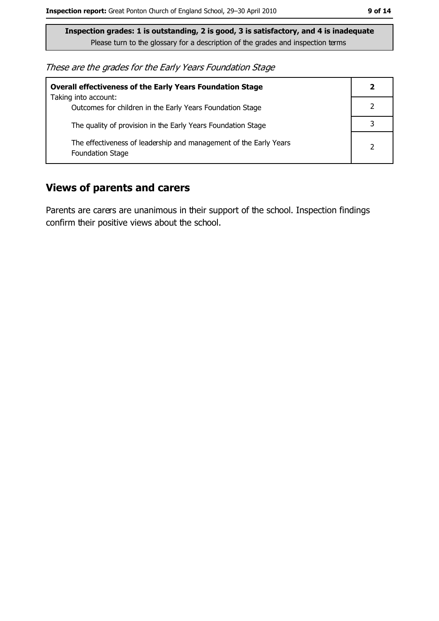These are the grades for the Early Years Foundation Stage

| <b>Overall effectiveness of the Early Years Foundation Stage</b>                             | 2              |
|----------------------------------------------------------------------------------------------|----------------|
| Taking into account:<br>Outcomes for children in the Early Years Foundation Stage            |                |
| The quality of provision in the Early Years Foundation Stage                                 |                |
| The effectiveness of leadership and management of the Early Years<br><b>Foundation Stage</b> | $\overline{2}$ |

#### **Views of parents and carers**

Parents are carers are unanimous in their support of the school. Inspection findings confirm their positive views about the school.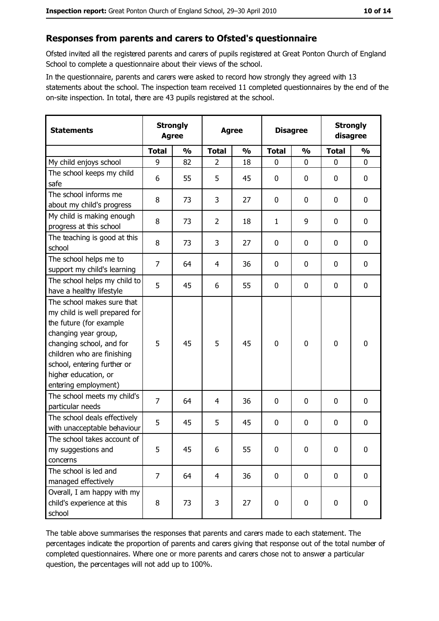#### Responses from parents and carers to Ofsted's questionnaire

Ofsted invited all the registered parents and carers of pupils registered at Great Ponton Church of England School to complete a questionnaire about their views of the school.

In the questionnaire, parents and carers were asked to record how strongly they agreed with 13 statements about the school. The inspection team received 11 completed questionnaires by the end of the on-site inspection. In total, there are 43 pupils registered at the school.

| <b>Statements</b>                                                                                                                                                                                                                                       | <b>Strongly</b><br><b>Agree</b> |               | <b>Agree</b>   |               | <b>Disagree</b> |               | <b>Strongly</b><br>disagree |               |
|---------------------------------------------------------------------------------------------------------------------------------------------------------------------------------------------------------------------------------------------------------|---------------------------------|---------------|----------------|---------------|-----------------|---------------|-----------------------------|---------------|
|                                                                                                                                                                                                                                                         | <b>Total</b>                    | $\frac{0}{0}$ | <b>Total</b>   | $\frac{0}{0}$ | <b>Total</b>    | $\frac{1}{2}$ | <b>Total</b>                | $\frac{0}{0}$ |
| My child enjoys school                                                                                                                                                                                                                                  | 9                               | 82            | $\overline{2}$ | 18            | $\mathbf{0}$    | $\mathbf{0}$  | $\mathbf{0}$                | $\mathbf{0}$  |
| The school keeps my child<br>safe                                                                                                                                                                                                                       | 6                               | 55            | 5              | 45            | $\mathbf 0$     | 0             | 0                           | $\mathbf 0$   |
| The school informs me<br>about my child's progress                                                                                                                                                                                                      | 8                               | 73            | 3              | 27            | 0               | 0             | 0                           | 0             |
| My child is making enough<br>progress at this school                                                                                                                                                                                                    | 8                               | 73            | $\overline{2}$ | 18            | $\mathbf{1}$    | 9             | 0                           | $\mathbf 0$   |
| The teaching is good at this<br>school                                                                                                                                                                                                                  | 8                               | 73            | 3              | 27            | $\mathbf 0$     | 0             | 0                           | $\mathbf 0$   |
| The school helps me to<br>support my child's learning                                                                                                                                                                                                   | $\overline{7}$                  | 64            | 4              | 36            | 0               | 0             | 0                           | $\mathbf 0$   |
| The school helps my child to<br>have a healthy lifestyle                                                                                                                                                                                                | 5                               | 45            | 6              | 55            | 0               | 0             | 0                           | $\mathbf 0$   |
| The school makes sure that<br>my child is well prepared for<br>the future (for example<br>changing year group,<br>changing school, and for<br>children who are finishing<br>school, entering further or<br>higher education, or<br>entering employment) | 5                               | 45            | 5              | 45            | $\mathbf 0$     | $\mathbf 0$   | $\mathbf 0$                 | $\mathbf 0$   |
| The school meets my child's<br>particular needs                                                                                                                                                                                                         | $\overline{7}$                  | 64            | 4              | 36            | 0               | 0             | 0                           | $\mathbf 0$   |
| The school deals effectively<br>with unacceptable behaviour                                                                                                                                                                                             | 5                               | 45            | 5              | 45            | $\mathbf 0$     | 0             | 0                           | $\bf{0}$      |
| The school takes account of<br>my suggestions and<br>concerns                                                                                                                                                                                           | 5                               | 45            | 6              | 55            | $\mathbf 0$     | 0             | 0                           | $\bf{0}$      |
| The school is led and<br>managed effectively                                                                                                                                                                                                            | $\overline{7}$                  | 64            | $\overline{4}$ | 36            | $\mathbf 0$     | 0             | $\mathbf 0$                 | $\mathbf 0$   |
| Overall, I am happy with my<br>child's experience at this<br>school                                                                                                                                                                                     | 8                               | 73            | 3              | 27            | $\mathbf 0$     | 0             | $\mathbf 0$                 | $\mathbf 0$   |

The table above summarises the responses that parents and carers made to each statement. The percentages indicate the proportion of parents and carers giving that response out of the total number of completed questionnaires. Where one or more parents and carers chose not to answer a particular question, the percentages will not add up to 100%.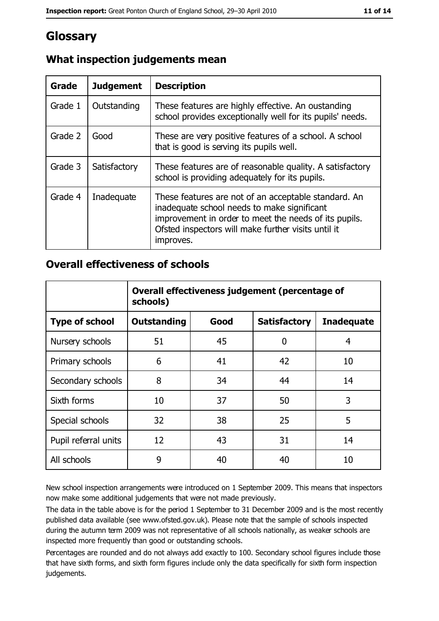## Glossary

| Grade   | <b>Judgement</b> | <b>Description</b>                                                                                                                                                                                                               |
|---------|------------------|----------------------------------------------------------------------------------------------------------------------------------------------------------------------------------------------------------------------------------|
| Grade 1 | Outstanding      | These features are highly effective. An oustanding<br>school provides exceptionally well for its pupils' needs.                                                                                                                  |
| Grade 2 | Good             | These are very positive features of a school. A school<br>that is good is serving its pupils well.                                                                                                                               |
| Grade 3 | Satisfactory     | These features are of reasonable quality. A satisfactory<br>school is providing adequately for its pupils.                                                                                                                       |
| Grade 4 | Inadequate       | These features are not of an acceptable standard. An<br>inadequate school needs to make significant<br>improvement in order to meet the needs of its pupils.<br>Ofsted inspectors will make further visits until it<br>improves. |

## What inspection judgements mean

#### **Overall effectiveness of schools**

|                       | Overall effectiveness judgement (percentage of<br>schools) |      |                     |                   |
|-----------------------|------------------------------------------------------------|------|---------------------|-------------------|
| <b>Type of school</b> | <b>Outstanding</b>                                         | Good | <b>Satisfactory</b> | <b>Inadequate</b> |
| Nursery schools       | 51                                                         | 45   | 0                   | 4                 |
| Primary schools       | 6                                                          | 41   | 42                  | 10                |
| Secondary schools     | 8                                                          | 34   | 44                  | 14                |
| Sixth forms           | 10                                                         | 37   | 50                  | 3                 |
| Special schools       | 32                                                         | 38   | 25                  | 5                 |
| Pupil referral units  | 12                                                         | 43   | 31                  | 14                |
| All schools           | 9                                                          | 40   | 40                  | 10                |

New school inspection arrangements were introduced on 1 September 2009. This means that inspectors now make some additional judgements that were not made previously.

The data in the table above is for the period 1 September to 31 December 2009 and is the most recently published data available (see www.ofsted.gov.uk). Please note that the sample of schools inspected during the autumn term 2009 was not representative of all schools nationally, as weaker schools are inspected more frequently than good or outstanding schools.

Percentages are rounded and do not always add exactly to 100. Secondary school figures include those that have sixth forms, and sixth form figures include only the data specifically for sixth form inspection judgements.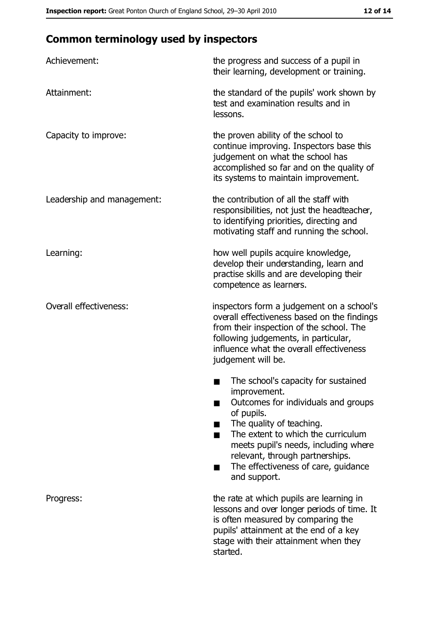# **Common terminology used by inspectors**

| Achievement:                  | the progress and success of a pupil in<br>their learning, development or training.                                                                                                                                                                                                                           |
|-------------------------------|--------------------------------------------------------------------------------------------------------------------------------------------------------------------------------------------------------------------------------------------------------------------------------------------------------------|
| Attainment:                   | the standard of the pupils' work shown by<br>test and examination results and in<br>lessons.                                                                                                                                                                                                                 |
| Capacity to improve:          | the proven ability of the school to<br>continue improving. Inspectors base this<br>judgement on what the school has<br>accomplished so far and on the quality of<br>its systems to maintain improvement.                                                                                                     |
| Leadership and management:    | the contribution of all the staff with<br>responsibilities, not just the headteacher,<br>to identifying priorities, directing and<br>motivating staff and running the school.                                                                                                                                |
| Learning:                     | how well pupils acquire knowledge,<br>develop their understanding, learn and<br>practise skills and are developing their<br>competence as learners.                                                                                                                                                          |
| <b>Overall effectiveness:</b> | inspectors form a judgement on a school's<br>overall effectiveness based on the findings<br>from their inspection of the school. The<br>following judgements, in particular,<br>influence what the overall effectiveness<br>judgement will be.                                                               |
|                               | The school's capacity for sustained<br>improvement.<br>Outcomes for individuals and groups<br>of pupils.<br>The quality of teaching.<br>The extent to which the curriculum<br>meets pupil's needs, including where<br>relevant, through partnerships.<br>The effectiveness of care, guidance<br>and support. |
| Progress:                     | the rate at which pupils are learning in<br>lessons and over longer periods of time. It<br>is often measured by comparing the<br>pupils' attainment at the end of a key<br>stage with their attainment when they<br>started.                                                                                 |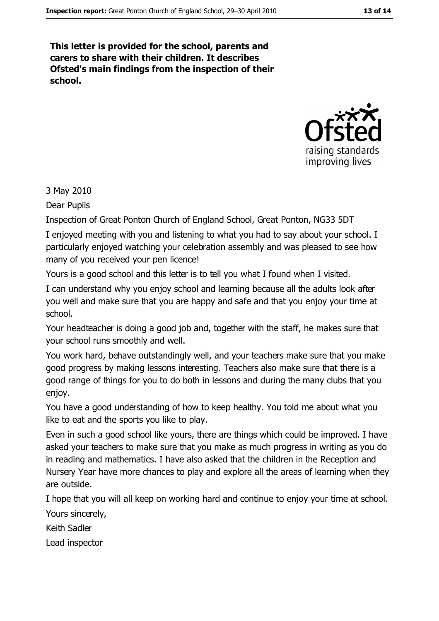This letter is provided for the school, parents and carers to share with their children. It describes Ofsted's main findings from the inspection of their school.



#### 3 May 2010

Dear Pupils

Inspection of Great Ponton Church of England School, Great Ponton, NG33 5DT

I enjoyed meeting with you and listening to what you had to say about your school. I particularly enjoyed watching your celebration assembly and was pleased to see how many of you received your pen licence!

Yours is a good school and this letter is to tell you what I found when I visited.

I can understand why you enjoy school and learning because all the adults look after you well and make sure that you are happy and safe and that you enjoy your time at school.

Your headteacher is doing a good job and, together with the staff, he makes sure that your school runs smoothly and well.

You work hard, behave outstandingly well, and your teachers make sure that you make good progress by making lessons interesting. Teachers also make sure that there is a good range of things for you to do both in lessons and during the many clubs that you enjoy.

You have a good understanding of how to keep healthy. You told me about what you like to eat and the sports you like to play.

Even in such a good school like yours, there are things which could be improved. I have asked your teachers to make sure that you make as much progress in writing as you do in reading and mathematics. I have also asked that the children in the Reception and Nursery Year have more chances to play and explore all the areas of learning when they are outside.

I hope that you will all keep on working hard and continue to enjoy your time at school. Yours sincerely,

Keith Sadler

Lead inspector